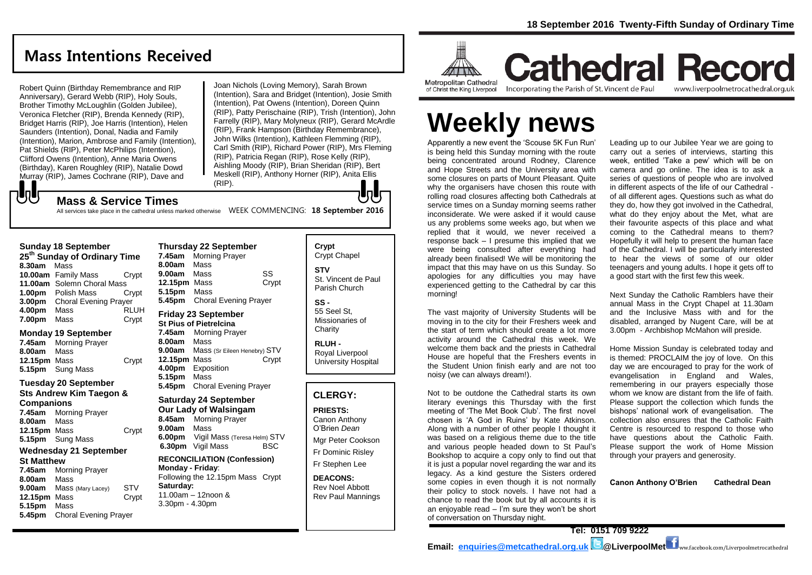# **Mass Intentions Received**

Robert Quinn (Birthday Remembrance and RIP Anniversary), Gerard Webb (RIP), Holy Souls, Brother Timothy McLoughlin (Golden Jubilee), Veronica Fletcher (RIP), Brenda Kennedy (RIP), Bridget Harris (RIP), Joe Harris (Intention), Helen Saunders (Intention), Donal, Nadia and Family (Intention), Marion, Ambrose and Family (Intention), Pat Shields (RIP), Peter McPhilips (Intention), Clifford Owens (Intention), Anne Maria Owens (Birthday), Karen Roughley (RIP), Natalie Dowd Murray (RIP), James Cochrane (RIP), Dave and

Joan Nichols (Loving Memory), Sarah Brown (Intention), Sara and Bridget (Intention), Josie Smith (Intention), Pat Owens (Intention), Doreen Quinn (RIP), Patty Perischaine (RIP), Trish (Intention), John Farrelly (RIP), Mary Molyneux (RIP), Gerard McArdle (RIP), Frank Hampson (Birthday Remembrance), John Wilks (Intention), Kathleen Flemming (RIP), Carl Smith (RIP), Richard Power (RIP), Mrs Fleming (RIP), Patricia Regan (RIP), Rose Kelly (RIP), Aishling Moody (RIP), Brian Sheridan (RIP), Bert Meskell (RIP), Anthony Horner (RIP), Anita Ellis (RIP).

## **Mass & Service Times**

All services take place in the cathedral unless marked otherwise WEEK COMMENCING: 18 September 2016

## **Sunday 18 September**

でし

**25th Sunday of Ordinary Time 8.30am** Mass **10.00am** Family Mass Crypt **11.00am** Solemn Choral Mass **1.00pm** Polish Mass Crypt **3.00pm** Choral Evening Prayer **4.00pm** Mass RLUH **7.00pm** Mass Crypt

## **Monday 19 September**

**7.45am** Morning Prayer **8.00am** Mass **12.15pm** Mass Crypt **5.15pm** Sung Mass

## **Tuesday 20 September Sts Andrew Kim Taegon &**

**Companions 7.45am** Morning Prayer **8.00am** Mass **12.15pm** Mass Crypt **5.15pm** Sung Mass

## **Wednesday 21 September St Matthew**

**7.45am** Morning Prayer **8.00am** Mass **9.00am** Mass (Mary Lacey) STV **12.15pm** Mass Crypt **5.15pm** Mass **5.45pm** Choral Evening Prayer

## **Thursday 22 September 7.45am** Morning Prayer

**8.00am** Mass **9.00am** Mass SS **12.15pm** Mass Crypt **5.15pm** Mass **5.45pm** Choral Evening Prayer

## **Friday 23 September**

**St Pius of Pietrelcina 7.45am** Morning Prayer **8.00am** Mass **9.00am** Mass (Sr Eileen Henebry) STV<br>**12.15pm** Mass Crvpt **12.15pm Mass 4.00pm** Exposition **5.15pm** Mass **5.45pm** Choral Evening Prayer

## **Saturday 24 September Our Lady of Walsingam 8.45am** Morning Prayer **9.00am** Mass

**6.00pm** Vigil Mass (Teresa Helm) STV **6.30pm** Vigil Mass BSC

#### **RECONCILIATION (Confession) Monday - Friday**: Following the 12.15pm Mass Crypt

**Saturday:** 11.00am – 12noon & 3.30pm - 4.30pm

## **Crypt**  Crypt Chapel **STV**

lo l

St. Vincent de Paul Parish Church

### **SS -** 55 Seel St, Missionaries of **Charity**

**RLUH -** Royal Liverpool University Hospital

## **CLERGY:**

**PRIESTS:** Canon Anthony O'Brien *Dean* Mgr Peter Cookson

Fr Dominic Risley Fr Stephen Lee

**DEACONS:** Rev Noel Abbott Rev Paul Mannings



# **Cathedral Record** Incorporating the Parish of St. Vincent de Paul www.liverpoolmetrocathedral.org.uk

of Christ the King Liverpool

# Leading up to our Jubilee Year we are going to

is being held this Sunday morning with the route being concentrated around Rodney, Clarence and Hope Streets and the University area with some closures on parts of Mount Pleasant. Quite why the organisers have chosen this route with rolling road closures affecting both Cathedrals at service times on a Sunday morning seems rather inconsiderate. We were asked if it would cause us any problems some weeks ago, but when we replied that it would, we never received a response back – I presume this implied that we were being consulted after everything had already been finalised! We will be monitoring the impact that this may have on us this Sunday. So apologies for any difficulties you may have experienced getting to the Cathedral by car this morning!

Apparently a new event the 'Scouse 5K Fun Run'

**Weekly news**

The vast majority of University Students will be moving in to the city for their Freshers week and the start of term which should create a lot more activity around the Cathedral this week. We welcome them back and the priests in Cathedral House are hopeful that the Freshers events in the Student Union finish early and are not too noisy (we can always dream!).

Not to be outdone the Cathedral starts its own literary evenings this Thursday with the first meeting of 'The Met Book Club'. The first novel chosen is 'A God in Ruins' by Kate Atkinson. Along with a number of other people I thought it was based on a religious theme due to the title and various people headed down to St Paul's Bookshop to acquire a copy only to find out that it is just a popular novel regarding the war and its legacy. As a kind gesture the Sisters ordered some copies in even though it is not normally their policy to stock novels. I have not had a chance to read the book but by all accounts it is an enjoyable read – I'm sure they won't be short of conversation on Thursday night.

carry out a series of interviews, starting this week, entitled 'Take a pew' which will be on camera and go online. The idea is to ask a series of questions of people who are involved in different aspects of the life of our Cathedral of all different ages. Questions such as what do they do, how they got involved in the Cathedral, what do they enjoy about the Met, what are their favourite aspects of this place and what coming to the Cathedral means to them? Hopefully it will help to present the human face of the Cathedral. I will be particularly interested to hear the views of some of our older teenagers and young adults. I hope it gets off to a good start with the first few this week.

Next Sunday the Catholic Ramblers have their annual Mass in the Crypt Chapel at 11.30am and the Inclusive Mass with and for the disabled, arranged by Nugent Care, will be at 3.00pm - Archbishop McMahon will preside.

Home Mission Sunday is celebrated today and is themed: PROCLAIM the joy of love. On this day we are encouraged to pray for the work of evangelisation in England and Wales, remembering in our prayers especially those whom we know are distant from the life of faith. Please support the collection which funds the bishops' national work of evangelisation. The collection also ensures that the Catholic Faith Centre is resourced to respond to those who have questions about the Catholic Faith. Please support the work of Home Mission through your prayers and generosity.

**Canon Anthony O'Brien Cathedral Dean**